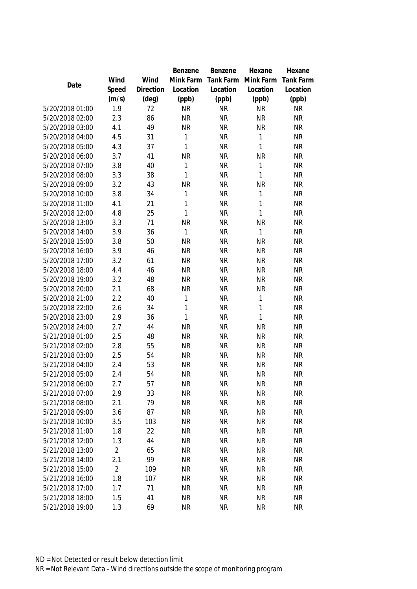|                 |                |                | Benzene      | Benzene   | Hexane    | Hexane           |
|-----------------|----------------|----------------|--------------|-----------|-----------|------------------|
|                 | Wind           | Wind           | Mink Farm    | Tank Farm | Mink Farm | <b>Tank Farm</b> |
| Date            | Speed          | Direction      | Location     | Location  | Location  | Location         |
|                 | (m/s)          | $(\text{deg})$ | (ppb)        | (ppb)     | (ppb)     | (ppb)            |
| 5/20/2018 01:00 | 1.9            | 72             | <b>NR</b>    | <b>NR</b> | <b>NR</b> | <b>NR</b>        |
| 5/20/2018 02:00 | 2.3            | 86             | <b>NR</b>    | <b>NR</b> | <b>NR</b> | <b>NR</b>        |
| 5/20/2018 03:00 | 4.1            | 49             | <b>NR</b>    | <b>NR</b> | <b>NR</b> | <b>NR</b>        |
| 5/20/2018 04:00 | 4.5            | 31             | $\mathbf{1}$ | <b>NR</b> | 1         | <b>NR</b>        |
| 5/20/2018 05:00 | 4.3            | 37             | 1            | <b>NR</b> | 1         | <b>NR</b>        |
| 5/20/2018 06:00 | 3.7            | 41             | <b>NR</b>    | <b>NR</b> | <b>NR</b> | <b>NR</b>        |
| 5/20/2018 07:00 | 3.8            | 40             | 1            | <b>NR</b> | 1         | <b>NR</b>        |
| 5/20/2018 08:00 | 3.3            | 38             | 1            | <b>NR</b> | 1         | <b>NR</b>        |
| 5/20/2018 09:00 | 3.2            | 43             | <b>NR</b>    | <b>NR</b> | <b>NR</b> | <b>NR</b>        |
| 5/20/2018 10:00 | 3.8            | 34             | 1            | <b>NR</b> | 1         | <b>NR</b>        |
| 5/20/2018 11:00 | 4.1            | 21             | 1            | <b>NR</b> | 1         | <b>NR</b>        |
| 5/20/2018 12:00 | 4.8            | 25             | 1            | <b>NR</b> | 1         | <b>NR</b>        |
| 5/20/2018 13:00 | 3.3            | 71             | <b>NR</b>    | <b>NR</b> | ΝR        | <b>NR</b>        |
| 5/20/2018 14:00 | 3.9            | 36             | $\mathbf{1}$ | <b>NR</b> | 1         | <b>NR</b>        |
| 5/20/2018 15:00 | 3.8            | 50             | <b>NR</b>    | <b>NR</b> | <b>NR</b> | <b>NR</b>        |
| 5/20/2018 16:00 | 3.9            | 46             | <b>NR</b>    | <b>NR</b> | <b>NR</b> | <b>NR</b>        |
| 5/20/2018 17:00 | 3.2            | 61             | <b>NR</b>    | <b>NR</b> | <b>NR</b> | <b>NR</b>        |
| 5/20/2018 18:00 | 4.4            | 46             | <b>NR</b>    | <b>NR</b> | <b>NR</b> | <b>NR</b>        |
| 5/20/2018 19:00 | 3.2            | 48             | <b>NR</b>    | <b>NR</b> | <b>NR</b> | <b>NR</b>        |
| 5/20/2018 20:00 | 2.1            | 68             | <b>NR</b>    | <b>NR</b> | <b>NR</b> | <b>NR</b>        |
| 5/20/2018 21:00 | 2.2            | 40             | $\mathbf{1}$ | <b>NR</b> | 1         | <b>NR</b>        |
| 5/20/2018 22:00 | 2.6            | 34             | 1            | <b>NR</b> | 1         | <b>NR</b>        |
| 5/20/2018 23:00 | 2.9            | 36             | 1            | <b>NR</b> | 1         | <b>NR</b>        |
| 5/20/2018 24:00 | 2.7            | 44             | <b>NR</b>    | <b>NR</b> | <b>NR</b> | <b>NR</b>        |
| 5/21/2018 01:00 | 2.5            | 48             | <b>NR</b>    | <b>NR</b> | <b>NR</b> | <b>NR</b>        |
| 5/21/2018 02:00 | 2.8            | 55             | <b>NR</b>    | <b>NR</b> | <b>NR</b> | <b>NR</b>        |
| 5/21/2018 03:00 | 2.5            | 54             | <b>NR</b>    | <b>NR</b> | <b>NR</b> | <b>NR</b>        |
| 5/21/2018 04:00 | 2.4            | 53             | <b>NR</b>    | <b>NR</b> | <b>NR</b> | <b>NR</b>        |
| 5/21/2018 05:00 | 2.4            | 54             | <b>NR</b>    | <b>NR</b> | <b>NR</b> | <b>NR</b>        |
| 5/21/2018 06:00 | 2.7            | 57             | <b>NR</b>    | <b>NR</b> | NR        | NR               |
| 5/21/2018 07:00 | 2.9            | 33             | <b>NR</b>    | <b>NR</b> | <b>NR</b> | <b>NR</b>        |
| 5/21/2018 08:00 | 2.1            | 79             | <b>NR</b>    | <b>NR</b> | <b>NR</b> | <b>NR</b>        |
| 5/21/2018 09:00 | 3.6            | 87             | <b>NR</b>    | <b>NR</b> | <b>NR</b> | <b>NR</b>        |
| 5/21/2018 10:00 | 3.5            | 103            | <b>NR</b>    | <b>NR</b> | NR        | <b>NR</b>        |
| 5/21/2018 11:00 | 1.8            | 22             | <b>NR</b>    | <b>NR</b> | <b>NR</b> | <b>NR</b>        |
| 5/21/2018 12:00 | 1.3            | 44             | <b>NR</b>    | <b>NR</b> | <b>NR</b> | <b>NR</b>        |
| 5/21/2018 13:00 | $\overline{2}$ | 65             | <b>NR</b>    | <b>NR</b> | <b>NR</b> | <b>NR</b>        |
| 5/21/2018 14:00 | 2.1            | 99             | <b>NR</b>    | <b>NR</b> | <b>NR</b> | <b>NR</b>        |
| 5/21/2018 15:00 | $\overline{2}$ | 109            | <b>NR</b>    | <b>NR</b> | <b>NR</b> | <b>NR</b>        |
| 5/21/2018 16:00 | 1.8            | 107            | <b>NR</b>    | <b>NR</b> | <b>NR</b> | <b>NR</b>        |
| 5/21/2018 17:00 | 1.7            | 71             | <b>NR</b>    | <b>NR</b> | <b>NR</b> | <b>NR</b>        |
| 5/21/2018 18:00 | 1.5            | 41             | <b>NR</b>    | <b>NR</b> | <b>NR</b> | <b>NR</b>        |
| 5/21/2018 19:00 | 1.3            | 69             | <b>NR</b>    | <b>NR</b> | <b>NR</b> | <b>NR</b>        |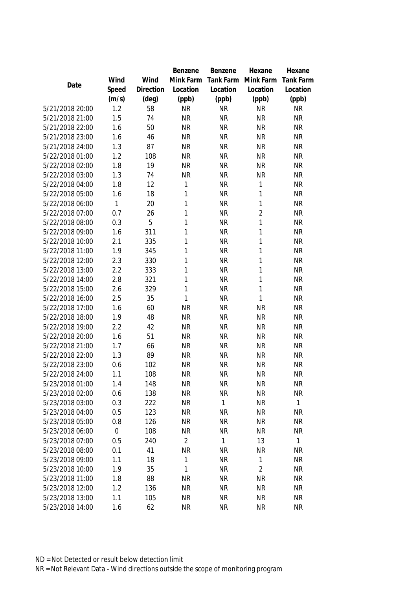|                 |             |                | <b>Benzene</b> | Benzene   | Hexane         | Hexane           |
|-----------------|-------------|----------------|----------------|-----------|----------------|------------------|
|                 | Wind        | Wind           | Mink Farm      | Tank Farm | Mink Farm      | <b>Tank Farm</b> |
| Date            | Speed       | Direction      | Location       | Location  | Location       | Location         |
|                 | (m/s)       | $(\text{deg})$ | (ppb)          | (ppb)     | (ppb)          | (ppb)            |
| 5/21/2018 20:00 | 1.2         | 58             | <b>NR</b>      | <b>NR</b> | <b>NR</b>      | <b>NR</b>        |
| 5/21/2018 21:00 | 1.5         | 74             | <b>NR</b>      | <b>NR</b> | <b>NR</b>      | <b>NR</b>        |
| 5/21/2018 22:00 | 1.6         | 50             | <b>NR</b>      | <b>NR</b> | <b>NR</b>      | <b>NR</b>        |
| 5/21/2018 23:00 | 1.6         | 46             | <b>NR</b>      | <b>NR</b> | <b>NR</b>      | <b>NR</b>        |
| 5/21/2018 24:00 | 1.3         | 87             | <b>NR</b>      | <b>NR</b> | <b>NR</b>      | <b>NR</b>        |
| 5/22/2018 01:00 | 1.2         | 108            | <b>NR</b>      | <b>NR</b> | <b>NR</b>      | <b>NR</b>        |
| 5/22/2018 02:00 | 1.8         | 19             | <b>NR</b>      | <b>NR</b> | <b>NR</b>      | <b>NR</b>        |
| 5/22/2018 03:00 | 1.3         | 74             | <b>NR</b>      | <b>NR</b> | <b>NR</b>      | <b>NR</b>        |
| 5/22/2018 04:00 | 1.8         | 12             | 1              | <b>NR</b> | 1              | <b>NR</b>        |
| 5/22/2018 05:00 | 1.6         | 18             | 1              | <b>NR</b> | 1              | <b>NR</b>        |
| 5/22/2018 06:00 | 1           | 20             | 1              | <b>NR</b> | 1              | <b>NR</b>        |
| 5/22/2018 07:00 | 0.7         | 26             | 1              | <b>NR</b> | $\overline{2}$ | <b>NR</b>        |
| 5/22/2018 08:00 | 0.3         | 5              | 1              | <b>NR</b> | 1              | <b>NR</b>        |
| 5/22/2018 09:00 | 1.6         | 311            | 1              | <b>NR</b> | 1              | <b>NR</b>        |
| 5/22/2018 10:00 | 2.1         | 335            | 1              | <b>NR</b> | 1              | <b>NR</b>        |
| 5/22/2018 11:00 | 1.9         | 345            | 1              | <b>NR</b> | 1              | <b>NR</b>        |
| 5/22/2018 12:00 | 2.3         | 330            | 1              | <b>NR</b> | 1              | <b>NR</b>        |
| 5/22/2018 13:00 | 2.2         | 333            | 1              | <b>NR</b> | 1              | <b>NR</b>        |
| 5/22/2018 14:00 | 2.8         | 321            | 1              | <b>NR</b> | 1              | <b>NR</b>        |
| 5/22/2018 15:00 | 2.6         | 329            | 1              | <b>NR</b> | 1              | <b>NR</b>        |
| 5/22/2018 16:00 | 2.5         | 35             | 1              | <b>NR</b> | 1              | <b>NR</b>        |
| 5/22/2018 17:00 | 1.6         | 60             | <b>NR</b>      | <b>NR</b> | <b>NR</b>      | <b>NR</b>        |
| 5/22/2018 18:00 | 1.9         | 48             | <b>NR</b>      | <b>NR</b> | <b>NR</b>      | <b>NR</b>        |
| 5/22/2018 19:00 | 2.2         | 42             | <b>NR</b>      | <b>NR</b> | <b>NR</b>      | <b>NR</b>        |
| 5/22/2018 20:00 | 1.6         | 51             | <b>NR</b>      | <b>NR</b> | <b>NR</b>      | <b>NR</b>        |
| 5/22/2018 21:00 | 1.7         | 66             | <b>NR</b>      | <b>NR</b> | <b>NR</b>      | <b>NR</b>        |
| 5/22/2018 22:00 | 1.3         | 89             | <b>NR</b>      | <b>NR</b> | <b>NR</b>      | <b>NR</b>        |
| 5/22/2018 23:00 | 0.6         | 102            | <b>NR</b>      | <b>NR</b> | <b>NR</b>      | <b>NR</b>        |
| 5/22/2018 24:00 | 1.1         | 108            | <b>NR</b>      | <b>NR</b> | <b>NR</b>      | <b>NR</b>        |
| 5/23/2018 01:00 | 1.4         | 148            | <b>NR</b>      | <b>NR</b> | NR             | <b>NR</b>        |
| 5/23/2018 02:00 | 0.6         | 138            | <b>NR</b>      | <b>NR</b> | <b>NR</b>      | <b>NR</b>        |
| 5/23/2018 03:00 | 0.3         | 222            | <b>NR</b>      | 1         | <b>NR</b>      | 1                |
| 5/23/2018 04:00 | 0.5         | 123            | <b>NR</b>      | ΝR        | <b>NR</b>      | <b>NR</b>        |
| 5/23/2018 05:00 | 0.8         | 126            | <b>NR</b>      | NR        | NR             | <b>NR</b>        |
| 5/23/2018 06:00 | $\mathbf 0$ | 108            | <b>NR</b>      | ΝR        | <b>NR</b>      | <b>NR</b>        |
| 5/23/2018 07:00 | 0.5         | 240            | $\overline{2}$ | 1         | 13             | 1                |
| 5/23/2018 08:00 | 0.1         | 41             | <b>NR</b>      | <b>NR</b> | <b>NR</b>      | <b>NR</b>        |
| 5/23/2018 09:00 | 1.1         | 18             | 1              | <b>NR</b> | 1              | <b>NR</b>        |
| 5/23/2018 10:00 | 1.9         | 35             | 1              | <b>NR</b> | $\overline{2}$ | <b>NR</b>        |
| 5/23/2018 11:00 | 1.8         | 88             | <b>NR</b>      | <b>NR</b> | <b>NR</b>      | <b>NR</b>        |
| 5/23/2018 12:00 | 1.2         | 136            | <b>NR</b>      | <b>NR</b> | <b>NR</b>      | <b>NR</b>        |
| 5/23/2018 13:00 | 1.1         | 105            | <b>NR</b>      | <b>NR</b> | <b>NR</b>      | <b>NR</b>        |
| 5/23/2018 14:00 | 1.6         | 62             | <b>NR</b>      | <b>NR</b> | <b>NR</b>      | <b>NR</b>        |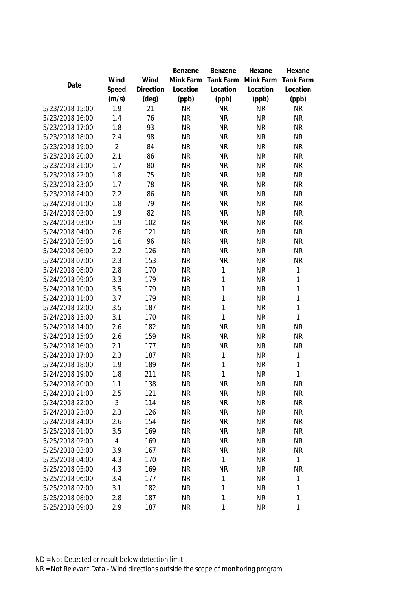|                 |                |                | Benzene   | Benzene      | Hexane    | Hexane           |
|-----------------|----------------|----------------|-----------|--------------|-----------|------------------|
|                 | Wind           | Wind           | Mink Farm | Tank Farm    | Mink Farm | <b>Tank Farm</b> |
| Date            | Speed          | Direction      | Location  | Location     | Location  | Location         |
|                 | (m/s)          | $(\text{deg})$ | (ppb)     | (ppb)        | (ppb)     | (ppb)            |
| 5/23/2018 15:00 | 1.9            | 21             | <b>NR</b> | <b>NR</b>    | <b>NR</b> | <b>NR</b>        |
| 5/23/2018 16:00 | 1.4            | 76             | <b>NR</b> | <b>NR</b>    | <b>NR</b> | <b>NR</b>        |
| 5/23/2018 17:00 | 1.8            | 93             | <b>NR</b> | <b>NR</b>    | <b>NR</b> | <b>NR</b>        |
| 5/23/2018 18:00 | 2.4            | 98             | <b>NR</b> | <b>NR</b>    | <b>NR</b> | <b>NR</b>        |
| 5/23/2018 19:00 | $\overline{2}$ | 84             | <b>NR</b> | <b>NR</b>    | <b>NR</b> | <b>NR</b>        |
| 5/23/2018 20:00 | 2.1            | 86             | <b>NR</b> | <b>NR</b>    | <b>NR</b> | <b>NR</b>        |
| 5/23/2018 21:00 | 1.7            | 80             | <b>NR</b> | <b>NR</b>    | <b>NR</b> | <b>NR</b>        |
| 5/23/2018 22:00 | 1.8            | 75             | <b>NR</b> | <b>NR</b>    | <b>NR</b> | <b>NR</b>        |
| 5/23/2018 23:00 | 1.7            | 78             | <b>NR</b> | <b>NR</b>    | <b>NR</b> | <b>NR</b>        |
| 5/23/2018 24:00 | 2.2            | 86             | <b>NR</b> | <b>NR</b>    | <b>NR</b> | <b>NR</b>        |
| 5/24/2018 01:00 | 1.8            | 79             | <b>NR</b> | <b>NR</b>    | <b>NR</b> | <b>NR</b>        |
| 5/24/2018 02:00 | 1.9            | 82             | <b>NR</b> | <b>NR</b>    | <b>NR</b> | <b>NR</b>        |
| 5/24/2018 03:00 | 1.9            | 102            | <b>NR</b> | <b>NR</b>    | <b>NR</b> | <b>NR</b>        |
| 5/24/2018 04:00 | 2.6            | 121            | <b>NR</b> | <b>NR</b>    | <b>NR</b> | <b>NR</b>        |
| 5/24/2018 05:00 | 1.6            | 96             | <b>NR</b> | <b>NR</b>    | <b>NR</b> | <b>NR</b>        |
| 5/24/2018 06:00 | 2.2            | 126            | <b>NR</b> | <b>NR</b>    | <b>NR</b> | <b>NR</b>        |
| 5/24/2018 07:00 | 2.3            | 153            | <b>NR</b> | <b>NR</b>    | <b>NR</b> | <b>NR</b>        |
| 5/24/2018 08:00 | 2.8            | 170            | <b>NR</b> | 1            | <b>NR</b> | 1                |
| 5/24/2018 09:00 | 3.3            | 179            | <b>NR</b> | 1            | <b>NR</b> | 1                |
| 5/24/2018 10:00 | 3.5            | 179            | <b>NR</b> | 1            | <b>NR</b> | 1                |
| 5/24/2018 11:00 | 3.7            | 179            | <b>NR</b> | 1            | <b>NR</b> | $\mathbf{1}$     |
| 5/24/2018 12:00 | 3.5            | 187            | <b>NR</b> | 1            | <b>NR</b> | 1                |
| 5/24/2018 13:00 | 3.1            | 170            | <b>NR</b> | 1            | <b>NR</b> | 1                |
| 5/24/2018 14:00 | 2.6            | 182            | <b>NR</b> | <b>NR</b>    | <b>NR</b> | <b>NR</b>        |
| 5/24/2018 15:00 | 2.6            | 159            | <b>NR</b> | <b>NR</b>    | <b>NR</b> | <b>NR</b>        |
| 5/24/2018 16:00 | 2.1            | 177            | <b>NR</b> | <b>NR</b>    | <b>NR</b> | <b>NR</b>        |
| 5/24/2018 17:00 | 2.3            | 187            | <b>NR</b> | $\mathbf 1$  | <b>NR</b> | 1                |
| 5/24/2018 18:00 | 1.9            | 189            | <b>NR</b> | 1            | <b>NR</b> | 1                |
| 5/24/2018 19:00 | 1.8            | 211            | <b>NR</b> | 1            | <b>NR</b> | 1                |
| 5/24/2018 20:00 | 1.1            | 138            | <b>NR</b> | <b>NR</b>    | <b>NR</b> | <b>NR</b>        |
| 5/24/2018 21:00 | 2.5            | 121            | <b>NR</b> | <b>NR</b>    | <b>NR</b> | <b>NR</b>        |
| 5/24/2018 22:00 | 3              | 114            | <b>NR</b> | <b>NR</b>    | <b>NR</b> | <b>NR</b>        |
| 5/24/2018 23:00 | 2.3            | 126            | <b>NR</b> | <b>NR</b>    | <b>NR</b> | <b>NR</b>        |
| 5/24/2018 24:00 | 2.6            | 154            | <b>NR</b> | <b>NR</b>    | <b>NR</b> | <b>NR</b>        |
| 5/25/2018 01:00 | 3.5            | 169            | <b>NR</b> | <b>NR</b>    | <b>NR</b> | <b>NR</b>        |
| 5/25/2018 02:00 | 4              | 169            | <b>NR</b> | <b>NR</b>    | <b>NR</b> | <b>NR</b>        |
| 5/25/2018 03:00 | 3.9            | 167            | <b>NR</b> | <b>NR</b>    | <b>NR</b> | <b>NR</b>        |
| 5/25/2018 04:00 | 4.3            | 170            | <b>NR</b> | $\mathbf{1}$ | <b>NR</b> | $\mathbf{1}$     |
| 5/25/2018 05:00 | 4.3            | 169            | <b>NR</b> | <b>NR</b>    | <b>NR</b> | <b>NR</b>        |
| 5/25/2018 06:00 | 3.4            | 177            | <b>NR</b> | 1            | <b>NR</b> | 1                |
| 5/25/2018 07:00 | 3.1            | 182            | <b>NR</b> | 1            | <b>NR</b> | 1                |
| 5/25/2018 08:00 | 2.8            | 187            | <b>NR</b> | 1            | <b>NR</b> | 1                |
| 5/25/2018 09:00 | 2.9            | 187            | <b>NR</b> | 1            | <b>NR</b> | 1                |